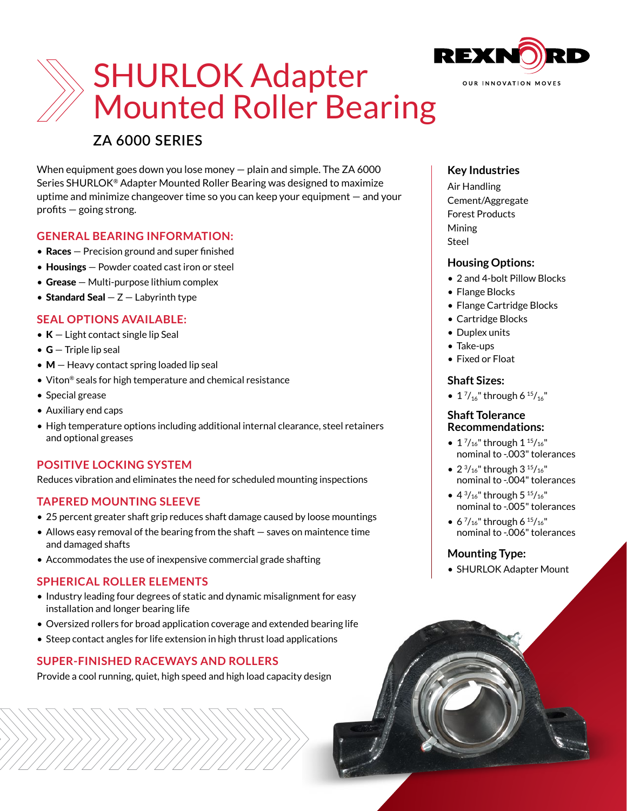

# SHURLOK Adapter Mounted Roller Bearing

# **ZA 6000 SERIES**

When equipment goes down you lose money — plain and simple. The ZA 6000 Series SHURLOK® Adapter Mounted Roller Bearing was designed to maximize uptime and minimize changeover time so you can keep your equipment — and your profits — going strong.

# **GENERAL BEARING INFORMATION:**

- Races  $-$  Precision ground and super finished
- Housings Powder coated cast iron or steel
- Grease Multi-purpose lithium complex
- Standard Seal  $-Z$  Labyrinth type

# **SEAL OPTIONS AVAILABLE:**

- $K -$  Light contact single lip Seal
- $\bullet$   $\mathsf{G}$  Triple lip seal
- M Heavy contact spring loaded lip seal
- Viton® seals for high temperature and chemical resistance
- Special grease
- Auxiliary end caps
- High temperature options including additional internal clearance, steel retainers and optional greases

# **POSITIVE LOCKING SYSTEM**

Reduces vibration and eliminates the need for scheduled mounting inspections

# **TAPERED MOUNTING SLEEVE**

- 25 percent greater shaft grip reduces shaft damage caused by loose mountings
- Allows easy removal of the bearing from the shaft saves on maintence time and damaged shafts
- Accommodates the use of inexpensive commercial grade shafting

# **SPHERICAL ROLLER ELEMENTS**

- Industry leading four degrees of static and dynamic misalignment for easy installation and longer bearing life
- Oversized rollers for broad application coverage and extended bearing life
- Steep contact angles for life extension in high thrust load applications

# **SUPER-FINISHED RACEWAYS AND ROLLERS**

Provide a cool running, quiet, high speed and high load capacity design

# **Key Industries**

Air Handling Cement/Aggregate Forest Products Mining Steel

### **Housing Options:**

- 2 and 4-bolt Pillow Blocks
- Flange Blocks
- Flange Cartridge Blocks
- Cartridge Blocks
- Duplex units
- Take-ups
- Fixed or Float

# **Shaft Sizes:**

•  $1\frac{7}{16}$ " through 6  $\frac{15}{16}$ "

# **Shaft Tolerance Recommendations:**

- $1^{7}/_{16}$ " through  $1^{15}/_{16}$ " nominal to -.003" tolerances
- $2^{3}/_{16}$ " through  $3^{15}/_{16}$ " nominal to -.004" tolerances
- $4\frac{3}{16}$ " through 5  $\frac{15}{16}$ " nominal to -.005" tolerances
- 6 $^{7}/_{16}$ " through 6  $^{15}/_{16}$ " nominal to -.006" tolerances

# **Mounting Type:**

• SHURLOK Adapter Mount